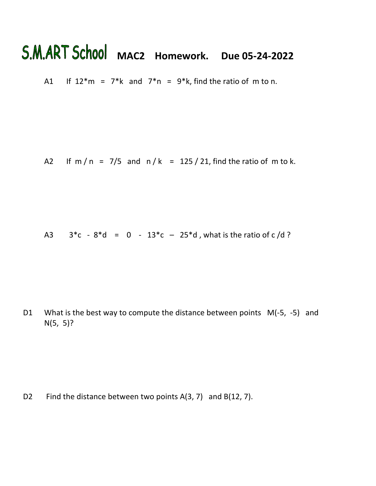## S.M.ART School MAC2 Homework. Due 05-24-2022

A1 If  $12*m = 7*k$  and  $7*n = 9*k$ , find the ratio of m to n.

A2 If m / n =  $7/5$  and n / k = 125 / 21, find the ratio of m to k.

A3  $3 \cdot c - 8 \cdot d = 0 - 13 \cdot c - 25 \cdot d$ , what is the ratio of c/d ?

D1 What is the best way to compute the distance between points  $M(-5, -5)$  and N(5, 5)?

D2 Find the distance between two points A(3, 7) and B(12, 7).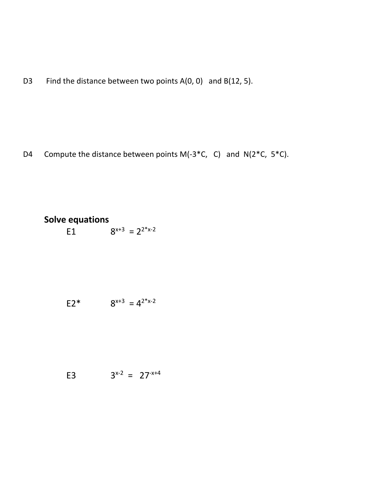D3 Find the distance between two points A(0, 0) and B(12, 5).

D4 Compute the distance between points M(-3<sup>\*</sup>C, C) and N(2<sup>\*</sup>C, 5<sup>\*</sup>C).

## **Solve equations** E1  $8^{x+3} = 2^{2^x x-2}$

| $E2*$ |  | $8^{x+3} = 4^{2^{*}x-2}$ |  |
|-------|--|--------------------------|--|
|-------|--|--------------------------|--|

$$
3^{x-2} = 27^{-x+4}
$$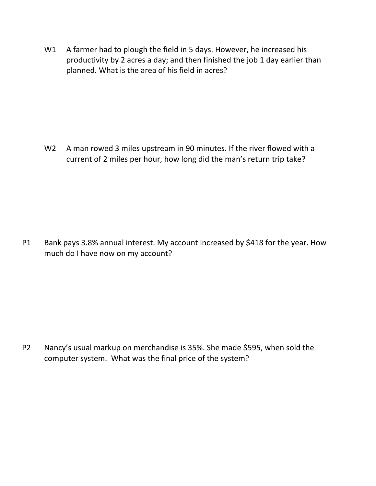W1 A farmer had to plough the field in 5 days. However, he increased his productivity by 2 acres a day; and then finished the job 1 day earlier than planned. What is the area of his field in acres?

W<sub>2</sub> A man rowed 3 miles upstream in 90 minutes. If the river flowed with a current of 2 miles per hour, how long did the man's return trip take?

P1 Bank pays 3.8% annual interest. My account increased by \$418 for the year. How much do I have now on my account?

P2 Nancy's usual markup on merchandise is 35%. She made \$595, when sold the computer system. What was the final price of the system?